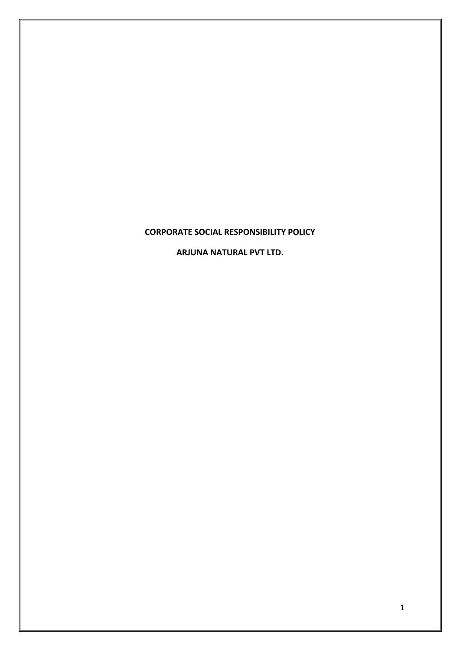# **CORPORATE SOCIAL RESPONSIBILITY POLICY**

**ARJUNA NATURAL PVT LTD.**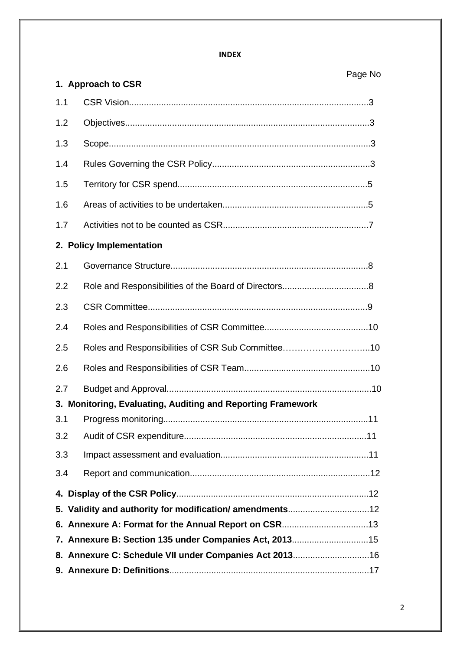#### **INDEX**

# Page No

|     | 1. Approach to CSR                                          |  |  |  |  |  |
|-----|-------------------------------------------------------------|--|--|--|--|--|
| 1.1 |                                                             |  |  |  |  |  |
| 1.2 |                                                             |  |  |  |  |  |
| 1.3 |                                                             |  |  |  |  |  |
| 1.4 |                                                             |  |  |  |  |  |
| 1.5 |                                                             |  |  |  |  |  |
| 1.6 |                                                             |  |  |  |  |  |
| 1.7 |                                                             |  |  |  |  |  |
|     | 2. Policy Implementation                                    |  |  |  |  |  |
| 2.1 |                                                             |  |  |  |  |  |
| 2.2 |                                                             |  |  |  |  |  |
| 2.3 |                                                             |  |  |  |  |  |
| 2.4 |                                                             |  |  |  |  |  |
| 2.5 |                                                             |  |  |  |  |  |
| 2.6 |                                                             |  |  |  |  |  |
| 2.7 |                                                             |  |  |  |  |  |
|     | 3. Monitoring, Evaluating, Auditing and Reporting Framework |  |  |  |  |  |
| 3.1 |                                                             |  |  |  |  |  |
| 3.2 |                                                             |  |  |  |  |  |
| 3.3 |                                                             |  |  |  |  |  |
| 3.4 |                                                             |  |  |  |  |  |
|     |                                                             |  |  |  |  |  |
|     |                                                             |  |  |  |  |  |
|     |                                                             |  |  |  |  |  |
|     | 7. Annexure B: Section 135 under Companies Act, 2013 15     |  |  |  |  |  |
|     |                                                             |  |  |  |  |  |
|     |                                                             |  |  |  |  |  |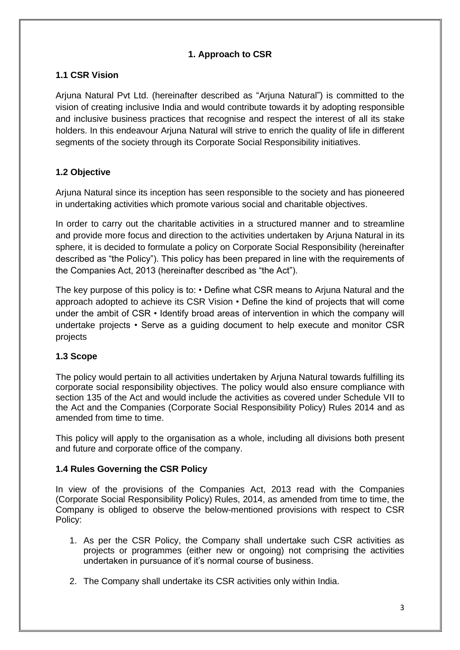# **1. Approach to CSR**

# **1.1 CSR Vision**

Arjuna Natural Pvt Ltd. (hereinafter described as "Arjuna Natural") is committed to the vision of creating inclusive India and would contribute towards it by adopting responsible and inclusive business practices that recognise and respect the interest of all its stake holders. In this endeavour Arjuna Natural will strive to enrich the quality of life in different segments of the society through its Corporate Social Responsibility initiatives.

# **1.2 Objective**

Arjuna Natural since its inception has seen responsible to the society and has pioneered in undertaking activities which promote various social and charitable objectives.

In order to carry out the charitable activities in a structured manner and to streamline and provide more focus and direction to the activities undertaken by Arjuna Natural in its sphere, it is decided to formulate a policy on Corporate Social Responsibility (hereinafter described as "the Policy"). This policy has been prepared in line with the requirements of the Companies Act, 2013 (hereinafter described as "the Act").

The key purpose of this policy is to: • Define what CSR means to Arjuna Natural and the approach adopted to achieve its CSR Vision • Define the kind of projects that will come under the ambit of CSR • Identify broad areas of intervention in which the company will undertake projects • Serve as a guiding document to help execute and monitor CSR projects

# **1.3 Scope**

The policy would pertain to all activities undertaken by Arjuna Natural towards fulfilling its corporate social responsibility objectives. The policy would also ensure compliance with section 135 of the Act and would include the activities as covered under Schedule VII to the Act and the Companies (Corporate Social Responsibility Policy) Rules 2014 and as amended from time to time.

This policy will apply to the organisation as a whole, including all divisions both present and future and corporate office of the company.

## **1.4 Rules Governing the CSR Policy**

In view of the provisions of the Companies Act, 2013 read with the Companies (Corporate Social Responsibility Policy) Rules, 2014, as amended from time to time, the Company is obliged to observe the below-mentioned provisions with respect to CSR Policy:

- 1. As per the CSR Policy, the Company shall undertake such CSR activities as projects or programmes (either new or ongoing) not comprising the activities undertaken in pursuance of it's normal course of business.
- 2. The Company shall undertake its CSR activities only within India.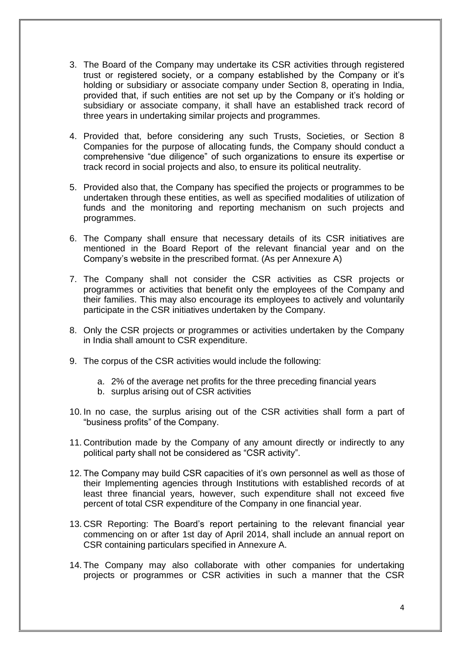- 3. The Board of the Company may undertake its CSR activities through registered trust or registered society, or a company established by the Company or it's holding or subsidiary or associate company under Section 8, operating in India, provided that, if such entities are not set up by the Company or it's holding or subsidiary or associate company, it shall have an established track record of three years in undertaking similar projects and programmes.
- 4. Provided that, before considering any such Trusts, Societies, or Section 8 Companies for the purpose of allocating funds, the Company should conduct a comprehensive "due diligence" of such organizations to ensure its expertise or track record in social projects and also, to ensure its political neutrality.
- 5. Provided also that, the Company has specified the projects or programmes to be undertaken through these entities, as well as specified modalities of utilization of funds and the monitoring and reporting mechanism on such projects and programmes.
- 6. The Company shall ensure that necessary details of its CSR initiatives are mentioned in the Board Report of the relevant financial year and on the Company's website in the prescribed format. (As per Annexure A)
- 7. The Company shall not consider the CSR activities as CSR projects or programmes or activities that benefit only the employees of the Company and their families. This may also encourage its employees to actively and voluntarily participate in the CSR initiatives undertaken by the Company.
- 8. Only the CSR projects or programmes or activities undertaken by the Company in India shall amount to CSR expenditure.
- 9. The corpus of the CSR activities would include the following:
	- a. 2% of the average net profits for the three preceding financial years
	- b. surplus arising out of CSR activities
- 10. In no case, the surplus arising out of the CSR activities shall form a part of "business profits" of the Company.
- 11. Contribution made by the Company of any amount directly or indirectly to any political party shall not be considered as "CSR activity".
- 12. The Company may build CSR capacities of it's own personnel as well as those of their Implementing agencies through Institutions with established records of at least three financial years, however, such expenditure shall not exceed five percent of total CSR expenditure of the Company in one financial year.
- 13. CSR Reporting: The Board's report pertaining to the relevant financial year commencing on or after 1st day of April 2014, shall include an annual report on CSR containing particulars specified in Annexure A.
- 14. The Company may also collaborate with other companies for undertaking projects or programmes or CSR activities in such a manner that the CSR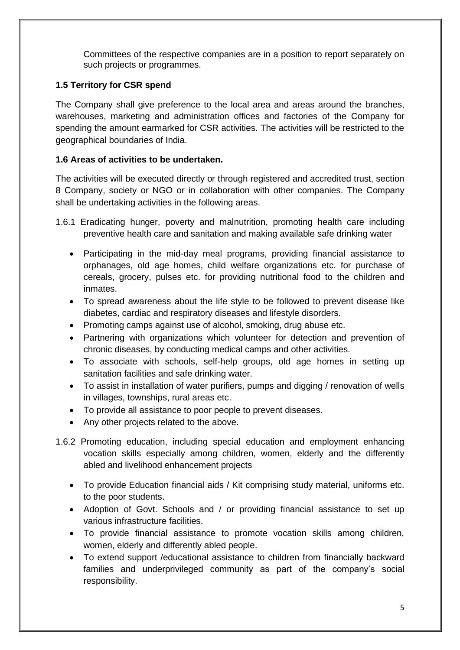Committees of the respective companies are in a position to report separately on such projects or programmes.

#### **1.5 Territory for CSR spend**

The Company shall give preference to the local area and areas around the branches, warehouses, marketing and administration offices and factories of the Company for spending the amount earmarked for CSR activities. The activities will be restricted to the geographical boundaries of India.

#### **1.6 Areas of activities to be undertaken.**

The activities will be executed directly or through registered and accredited trust, section 8 Company, society or NGO or in collaboration with other companies. The Company shall be undertaking activities in the following areas.

- 1.6.1 Eradicating hunger, poverty and malnutrition, promoting health care including preventive health care and sanitation and making available safe drinking water
	- Participating in the mid-day meal programs, providing financial assistance to orphanages, old age homes, child welfare organizations etc. for purchase of cereals, grocery, pulses etc. for providing nutritional food to the children and inmates.
	- To spread awareness about the life style to be followed to prevent disease like diabetes, cardiac and respiratory diseases and lifestyle disorders.
	- Promoting camps against use of alcohol, smoking, drug abuse etc.
	- Partnering with organizations which volunteer for detection and prevention of chronic diseases, by conducting medical camps and other activities.
	- To associate with schools, self-help groups, old age homes in setting up sanitation facilities and safe drinking water.
	- To assist in installation of water purifiers, pumps and digging / renovation of wells in villages, townships, rural areas etc.
	- To provide all assistance to poor people to prevent diseases.
	- Any other projects related to the above.
- 1.6.2 Promoting education, including special education and employment enhancing vocation skills especially among children, women, elderly and the differently abled and livelihood enhancement projects
	- To provide Education financial aids / Kit comprising study material, uniforms etc. to the poor students.
	- Adoption of Govt. Schools and / or providing financial assistance to set up various infrastructure facilities.
	- To provide financial assistance to promote vocation skills among children, women, elderly and differently abled people.
	- To extend support /educational assistance to children from financially backward families and underprivileged community as part of the company's social responsibility.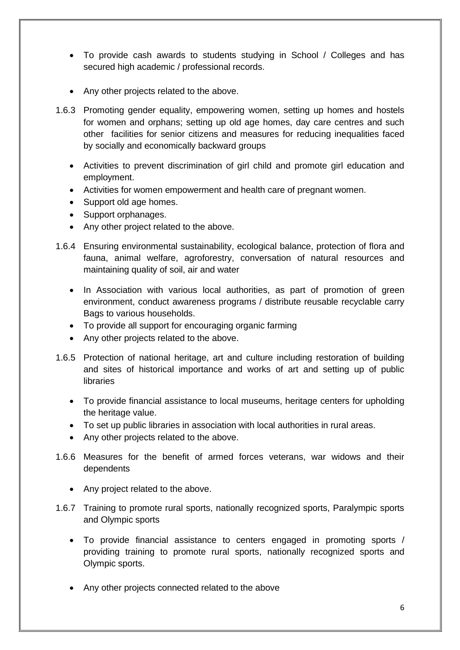- To provide cash awards to students studying in School / Colleges and has secured high academic / professional records.
- Any other projects related to the above.
- 1.6.3 Promoting gender equality, empowering women, setting up homes and hostels for women and orphans; setting up old age homes, day care centres and such other facilities for senior citizens and measures for reducing inequalities faced by socially and economically backward groups
	- Activities to prevent discrimination of girl child and promote girl education and employment.
	- Activities for women empowerment and health care of pregnant women.
	- Support old age homes.
	- Support orphanages.
	- Any other project related to the above.
- 1.6.4 Ensuring environmental sustainability, ecological balance, protection of flora and fauna, animal welfare, agroforestry, conversation of natural resources and maintaining quality of soil, air and water
	- In Association with various local authorities, as part of promotion of green environment, conduct awareness programs / distribute reusable recyclable carry Bags to various households.
	- To provide all support for encouraging organic farming
	- Any other projects related to the above.
- 1.6.5 Protection of national heritage, art and culture including restoration of building and sites of historical importance and works of art and setting up of public **libraries** 
	- To provide financial assistance to local museums, heritage centers for upholding the heritage value.
	- To set up public libraries in association with local authorities in rural areas.
	- Any other projects related to the above.
- 1.6.6 Measures for the benefit of armed forces veterans, war widows and their dependents
	- Any project related to the above.
- 1.6.7 Training to promote rural sports, nationally recognized sports, Paralympic sports and Olympic sports
	- To provide financial assistance to centers engaged in promoting sports / providing training to promote rural sports, nationally recognized sports and Olympic sports.
	- Any other projects connected related to the above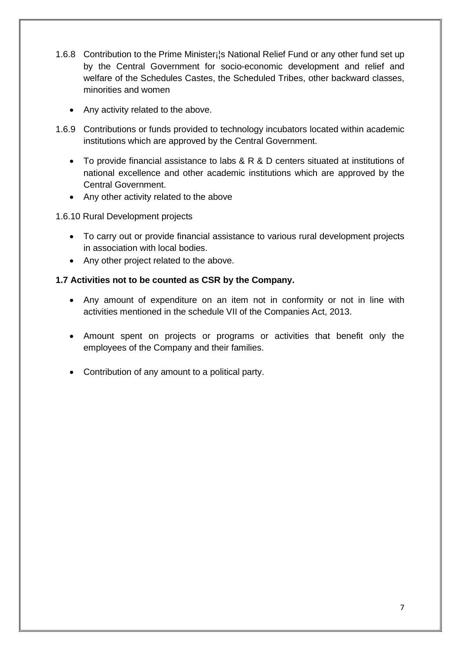- 1.6.8 Contribution to the Prime Minister; S National Relief Fund or any other fund set up by the Central Government for socio-economic development and relief and welfare of the Schedules Castes, the Scheduled Tribes, other backward classes, minorities and women
	- Any activity related to the above.
- 1.6.9 Contributions or funds provided to technology incubators located within academic institutions which are approved by the Central Government.
	- To provide financial assistance to labs & R & D centers situated at institutions of national excellence and other academic institutions which are approved by the Central Government.
	- Any other activity related to the above

1.6.10 Rural Development projects

- To carry out or provide financial assistance to various rural development projects in association with local bodies.
- Any other project related to the above.

# **1.7 Activities not to be counted as CSR by the Company.**

- Any amount of expenditure on an item not in conformity or not in line with activities mentioned in the schedule VII of the Companies Act, 2013.
- Amount spent on projects or programs or activities that benefit only the employees of the Company and their families.
- Contribution of any amount to a political party.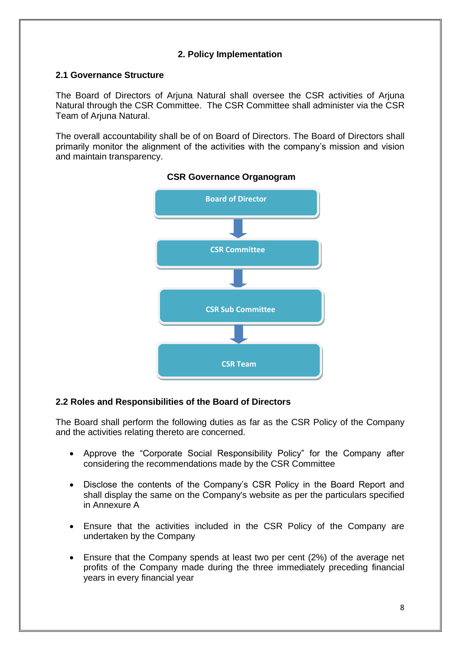# **2. Policy Implementation**

#### **2.1 Governance Structure**

The Board of Directors of Arjuna Natural shall oversee the CSR activities of Arjuna Natural through the CSR Committee. The CSR Committee shall administer via the CSR Team of Ariuna Natural.

The overall accountability shall be of on Board of Directors. The Board of Directors shall primarily monitor the alignment of the activities with the company's mission and vision and maintain transparency.



#### **CSR Governance Organogram**

## **2.2 Roles and Responsibilities of the Board of Directors**

The Board shall perform the following duties as far as the CSR Policy of the Company and the activities relating thereto are concerned.

- Approve the "Corporate Social Responsibility Policy" for the Company after considering the recommendations made by the CSR Committee
- Disclose the contents of the Company's CSR Policy in the Board Report and shall display the same on the Company's website as per the particulars specified in Annexure A
- Ensure that the activities included in the CSR Policy of the Company are undertaken by the Company
- Ensure that the Company spends at least two per cent (2%) of the average net profits of the Company made during the three immediately preceding financial years in every financial year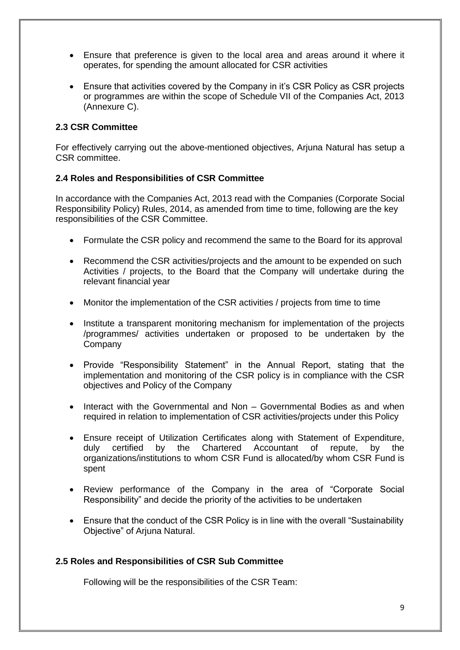- Ensure that preference is given to the local area and areas around it where it operates, for spending the amount allocated for CSR activities
- Ensure that activities covered by the Company in it's CSR Policy as CSR projects or programmes are within the scope of Schedule VII of the Companies Act, 2013 (Annexure C).

#### **2.3 CSR Committee**

For effectively carrying out the above-mentioned objectives, Arjuna Natural has setup a CSR committee.

#### **2.4 Roles and Responsibilities of CSR Committee**

In accordance with the Companies Act, 2013 read with the Companies (Corporate Social Responsibility Policy) Rules, 2014, as amended from time to time, following are the key responsibilities of the CSR Committee.

- Formulate the CSR policy and recommend the same to the Board for its approval
- Recommend the CSR activities/projects and the amount to be expended on such Activities / projects, to the Board that the Company will undertake during the relevant financial year
- Monitor the implementation of the CSR activities / projects from time to time
- Institute a transparent monitoring mechanism for implementation of the projects /programmes/ activities undertaken or proposed to be undertaken by the Company
- Provide "Responsibility Statement" in the Annual Report, stating that the implementation and monitoring of the CSR policy is in compliance with the CSR objectives and Policy of the Company
- Interact with the Governmental and Non Governmental Bodies as and when required in relation to implementation of CSR activities/projects under this Policy
- Ensure receipt of Utilization Certificates along with Statement of Expenditure, duly certified by the Chartered Accountant of repute, by the organizations/institutions to whom CSR Fund is allocated/by whom CSR Fund is spent
- Review performance of the Company in the area of "Corporate Social Responsibility" and decide the priority of the activities to be undertaken
- Ensure that the conduct of the CSR Policy is in line with the overall "Sustainability" Objective" of Arjuna Natural.

#### **2.5 Roles and Responsibilities of CSR Sub Committee**

Following will be the responsibilities of the CSR Team: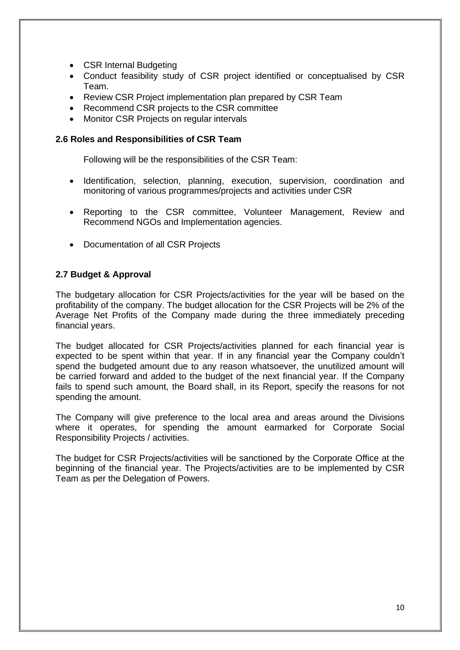- CSR Internal Budgeting
- Conduct feasibility study of CSR project identified or conceptualised by CSR Team.
- Review CSR Project implementation plan prepared by CSR Team
- Recommend CSR projects to the CSR committee
- Monitor CSR Projects on regular intervals

#### **2.6 Roles and Responsibilities of CSR Team**

Following will be the responsibilities of the CSR Team:

- Identification, selection, planning, execution, supervision, coordination and monitoring of various programmes/projects and activities under CSR
- Reporting to the CSR committee, Volunteer Management, Review and Recommend NGOs and Implementation agencies.
- Documentation of all CSR Projects

## **2.7 Budget & Approval**

The budgetary allocation for CSR Projects/activities for the year will be based on the profitability of the company. The budget allocation for the CSR Projects will be 2% of the Average Net Profits of the Company made during the three immediately preceding financial years.

The budget allocated for CSR Projects/activities planned for each financial year is expected to be spent within that year. If in any financial year the Company couldn't spend the budgeted amount due to any reason whatsoever, the unutilized amount will be carried forward and added to the budget of the next financial year. If the Company fails to spend such amount, the Board shall, in its Report, specify the reasons for not spending the amount.

The Company will give preference to the local area and areas around the Divisions where it operates, for spending the amount earmarked for Corporate Social Responsibility Projects / activities.

The budget for CSR Projects/activities will be sanctioned by the Corporate Office at the beginning of the financial year. The Projects/activities are to be implemented by CSR Team as per the Delegation of Powers.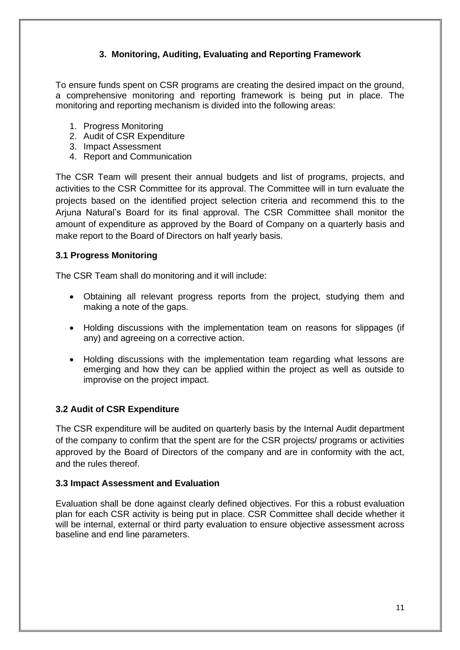# **3. Monitoring, Auditing, Evaluating and Reporting Framework**

To ensure funds spent on CSR programs are creating the desired impact on the ground, a comprehensive monitoring and reporting framework is being put in place. The monitoring and reporting mechanism is divided into the following areas:

- 1. Progress Monitoring
- 2. Audit of CSR Expenditure
- 3. Impact Assessment
- 4. Report and Communication

The CSR Team will present their annual budgets and list of programs, projects, and activities to the CSR Committee for its approval. The Committee will in turn evaluate the projects based on the identified project selection criteria and recommend this to the Arjuna Natural's Board for its final approval. The CSR Committee shall monitor the amount of expenditure as approved by the Board of Company on a quarterly basis and make report to the Board of Directors on half yearly basis.

#### **3.1 Progress Monitoring**

The CSR Team shall do monitoring and it will include:

- Obtaining all relevant progress reports from the project, studying them and making a note of the gaps.
- Holding discussions with the implementation team on reasons for slippages (if any) and agreeing on a corrective action.
- Holding discussions with the implementation team regarding what lessons are emerging and how they can be applied within the project as well as outside to improvise on the project impact.

## **3.2 Audit of CSR Expenditure**

The CSR expenditure will be audited on quarterly basis by the Internal Audit department of the company to confirm that the spent are for the CSR projects/ programs or activities approved by the Board of Directors of the company and are in conformity with the act, and the rules thereof.

#### **3.3 Impact Assessment and Evaluation**

Evaluation shall be done against clearly defined objectives. For this a robust evaluation plan for each CSR activity is being put in place. CSR Committee shall decide whether it will be internal, external or third party evaluation to ensure objective assessment across baseline and end line parameters.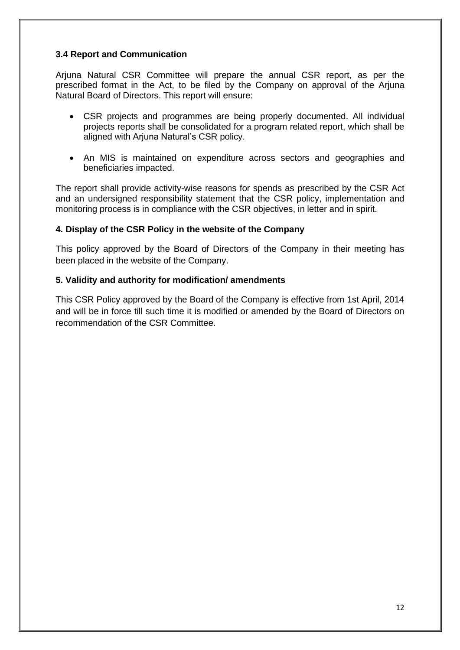# **3.4 Report and Communication**

Arjuna Natural CSR Committee will prepare the annual CSR report, as per the prescribed format in the Act, to be filed by the Company on approval of the Arjuna Natural Board of Directors. This report will ensure:

- CSR projects and programmes are being properly documented. All individual projects reports shall be consolidated for a program related report, which shall be aligned with Arjuna Natural's CSR policy.
- An MIS is maintained on expenditure across sectors and geographies and beneficiaries impacted.

The report shall provide activity-wise reasons for spends as prescribed by the CSR Act and an undersigned responsibility statement that the CSR policy, implementation and monitoring process is in compliance with the CSR objectives, in letter and in spirit.

## **4. Display of the CSR Policy in the website of the Company**

This policy approved by the Board of Directors of the Company in their meeting has been placed in the website of the Company.

#### **5. Validity and authority for modification/ amendments**

This CSR Policy approved by the Board of the Company is effective from 1st April, 2014 and will be in force till such time it is modified or amended by the Board of Directors on recommendation of the CSR Committee.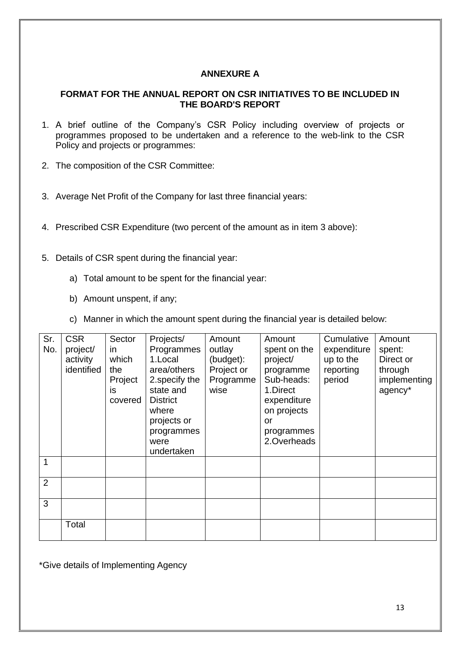# **ANNEXURE A**

## **FORMAT FOR THE ANNUAL REPORT ON CSR INITIATIVES TO BE INCLUDED IN THE BOARD'S REPORT**

- 1. A brief outline of the Company's CSR Policy including overview of projects or programmes proposed to be undertaken and a reference to the web-link to the CSR Policy and projects or programmes:
- 2. The composition of the CSR Committee:
- 3. Average Net Profit of the Company for last three financial years:
- 4. Prescribed CSR Expenditure (two percent of the amount as in item 3 above):
- 5. Details of CSR spent during the financial year:
	- a) Total amount to be spent for the financial year:
	- b) Amount unspent, if any;
	- c) Manner in which the amount spent during the financial year is detailed below:

| Sr.<br>No.     | <b>CSR</b><br>project/<br>activity<br>identified | Sector<br>in.<br>which<br>the<br>Project<br>is.<br>covered | Projects/<br>Programmes<br>1.Local<br>area/others<br>2. specify the<br>state and<br><b>District</b><br>where<br>projects or<br>programmes<br>were<br>undertaken | Amount<br>outlay<br>(budget):<br>Project or<br>Programme<br>wise | Amount<br>spent on the<br>project/<br>programme<br>Sub-heads:<br>1.Direct<br>expenditure<br>on projects<br>or<br>programmes<br>2.Overheads | Cumulative<br>expenditure<br>up to the<br>reporting<br>period | Amount<br>spent:<br>Direct or<br>through<br>implementing<br>agency* |
|----------------|--------------------------------------------------|------------------------------------------------------------|-----------------------------------------------------------------------------------------------------------------------------------------------------------------|------------------------------------------------------------------|--------------------------------------------------------------------------------------------------------------------------------------------|---------------------------------------------------------------|---------------------------------------------------------------------|
|                |                                                  |                                                            |                                                                                                                                                                 |                                                                  |                                                                                                                                            |                                                               |                                                                     |
| $\overline{2}$ |                                                  |                                                            |                                                                                                                                                                 |                                                                  |                                                                                                                                            |                                                               |                                                                     |
| 3              |                                                  |                                                            |                                                                                                                                                                 |                                                                  |                                                                                                                                            |                                                               |                                                                     |
|                | Total                                            |                                                            |                                                                                                                                                                 |                                                                  |                                                                                                                                            |                                                               |                                                                     |

\*Give details of Implementing Agency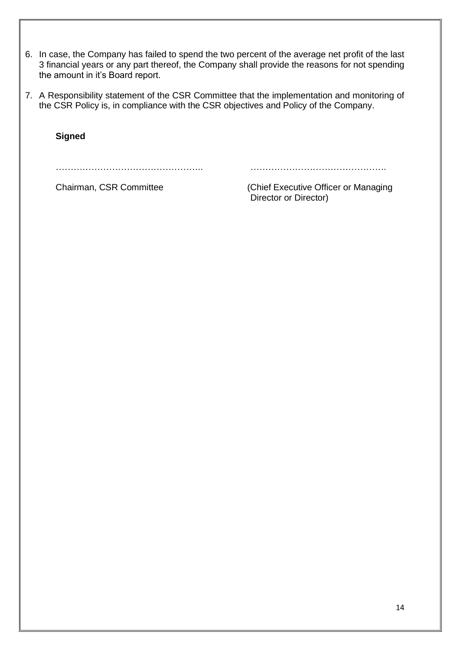- 6. In case, the Company has failed to spend the two percent of the average net profit of the last 3 financial years or any part thereof, the Company shall provide the reasons for not spending the amount in it's Board report.
- 7. A Responsibility statement of the CSR Committee that the implementation and monitoring of the CSR Policy is, in compliance with the CSR objectives and Policy of the Company.

**Signed**

………………………………………….. ……………………………………….

Chairman, CSR Committee (Chief Executive Officer or Managing Director or Director)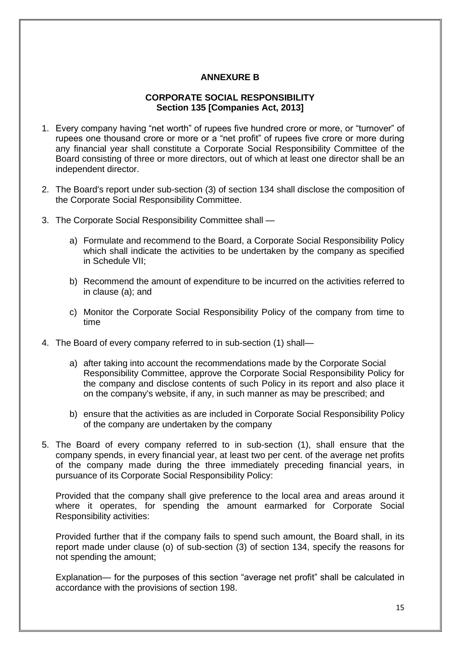## **ANNEXURE B**

## **CORPORATE SOCIAL RESPONSIBILITY Section 135 [Companies Act, 2013]**

- 1. Every company having "net worth" of rupees five hundred crore or more, or "turnover" of rupees one thousand crore or more or a "net profit" of rupees five crore or more during any financial year shall constitute a Corporate Social Responsibility Committee of the Board consisting of three or more directors, out of which at least one director shall be an independent director.
- 2. The Board's report under sub-section (3) of section 134 shall disclose the composition of the Corporate Social Responsibility Committee.
- 3. The Corporate Social Responsibility Committee shall
	- a) Formulate and recommend to the Board, a Corporate Social Responsibility Policy which shall indicate the activities to be undertaken by the company as specified in Schedule VII;
	- b) Recommend the amount of expenditure to be incurred on the activities referred to in clause (a); and
	- c) Monitor the Corporate Social Responsibility Policy of the company from time to time
- 4. The Board of every company referred to in sub-section (1) shall
	- a) after taking into account the recommendations made by the Corporate Social Responsibility Committee, approve the Corporate Social Responsibility Policy for the company and disclose contents of such Policy in its report and also place it on the company's website, if any, in such manner as may be prescribed; and
	- b) ensure that the activities as are included in Corporate Social Responsibility Policy of the company are undertaken by the company
- 5. The Board of every company referred to in sub-section (1), shall ensure that the company spends, in every financial year, at least two per cent. of the average net profits of the company made during the three immediately preceding financial years, in pursuance of its Corporate Social Responsibility Policy:

Provided that the company shall give preference to the local area and areas around it where it operates, for spending the amount earmarked for Corporate Social Responsibility activities:

Provided further that if the company fails to spend such amount, the Board shall, in its report made under clause (o) of sub-section (3) of section 134, specify the reasons for not spending the amount;

Explanation— for the purposes of this section "average net profit" shall be calculated in accordance with the provisions of section 198.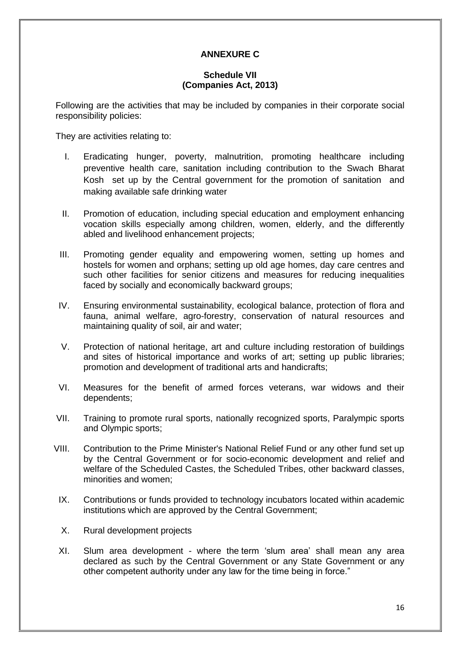# **ANNEXURE C**

## **Schedule VII (Companies Act, 2013)**

Following are the activities that may be included by companies in their corporate social responsibility policies:

They are activities relating to:

- I. Eradicating hunger, poverty, malnutrition, promoting healthcare including preventive health care, sanitation including contribution to the Swach Bharat Kosh set up by the Central government for the promotion of sanitation and making available safe drinking water
- II. Promotion of education, including special education and employment enhancing vocation skills especially among children, women, elderly, and the differently abled and livelihood enhancement projects;
- III. Promoting gender equality and empowering women, setting up homes and hostels for women and orphans; setting up old age homes, day care centres and such other facilities for senior citizens and measures for reducing inequalities faced by socially and economically backward groups;
- IV. Ensuring environmental sustainability, ecological balance, protection of flora and fauna, animal welfare, agro-forestry, conservation of natural resources and maintaining quality of soil, air and water;
- V. Protection of national heritage, art and culture including restoration of buildings and sites of historical importance and works of art; setting up public libraries; promotion and development of traditional arts and handicrafts;
- VI. Measures for the benefit of armed forces veterans, war widows and their dependents;
- VII. Training to promote rural sports, nationally recognized sports, Paralympic sports and Olympic sports;
- VIII. Contribution to the Prime Minister's National Relief Fund or any other fund set up by the Central Government or for socio-economic development and relief and welfare of the Scheduled Castes, the Scheduled Tribes, other backward classes, minorities and women;
- IX. Contributions or funds provided to technology incubators located within academic institutions which are approved by the Central Government;
- X. Rural development projects
- XI. Slum area development where the term 'slum area' shall mean any area declared as such by the Central Government or any State Government or any other competent authority under any law for the time being in force."